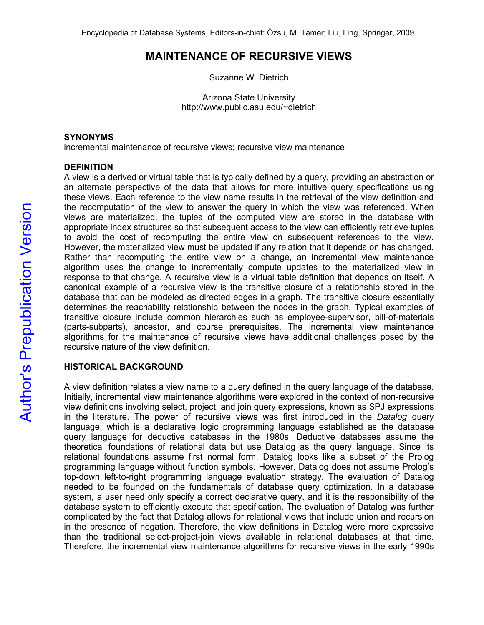# **MAINTENANCE OF RECURSIVE VIEWS**

Suzanne W. Dietrich

Arizona State University http://www.public.asu.edu/~dietrich

#### **SYNONYMS**

incremental maintenance of recursive views; recursive view maintenance

## **DEFINITION**

A view is a derived or virtual table that is typically defined by a query, providing an abstraction or an alternate perspective of the data that allows for more intuitive query specifications using these views. Each reference to the view name results in the retrieval of the view definition and the recomputation of the view to answer the query in which the view was referenced. When views are materialized, the tuples of the computed view are stored in the database with appropriate index structures so that subsequent access to the view can efficiently retrieve tuples to avoid the cost of recomputing the entire view on subsequent references to the view. However, the materialized view must be updated if any relation that it depends on has changed. Rather than recomputing the entire view on a change, an incremental view maintenance algorithm uses the change to incrementally compute updates to the materialized view in response to that change. A recursive view is a virtual table definition that depends on itself. A canonical example of a recursive view is the transitive closure of a relationship stored in the database that can be modeled as directed edges in a graph. The transitive closure essentially determines the reachability relationship between the nodes in the graph. Typical examples of transitive closure include common hierarchies such as employee-supervisor, bill-of-materials (parts-subparts), ancestor, and course prerequisites. The incremental view maintenance algorithms for the maintenance of recursive views have additional challenges posed by the recursive nature of the view definition.

# **HISTORICAL BACKGROUND**

A view definition relates a view name to a query defined in the query language of the database. Initially, incremental view maintenance algorithms were explored in the context of non-recursive view definitions involving select, project, and join query expressions, known as SPJ expressions in the literature. The power of recursive views was first introduced in the *Datalog* query language, which is a declarative logic programming language established as the database query language for deductive databases in the 1980s. Deductive databases assume the theoretical foundations of relational data but use Datalog as the query language. Since its relational foundations assume first normal form, Datalog looks like a subset of the Prolog programming language without function symbols. However, Datalog does not assume Prolog's top-down left-to-right programming language evaluation strategy. The evaluation of Datalog needed to be founded on the fundamentals of database query optimization. In a database system, a user need only specify a correct declarative query, and it is the responsibility of the database system to efficiently execute that specification. The evaluation of Datalog was further complicated by the fact that Datalog allows for relational views that include union and recursion in the presence of negation. Therefore, the view definitions in Datalog were more expressive than the traditional select-project-join views available in relational databases at that time. Therefore, the incremental view maintenance algorithms for recursive views in the early 1990s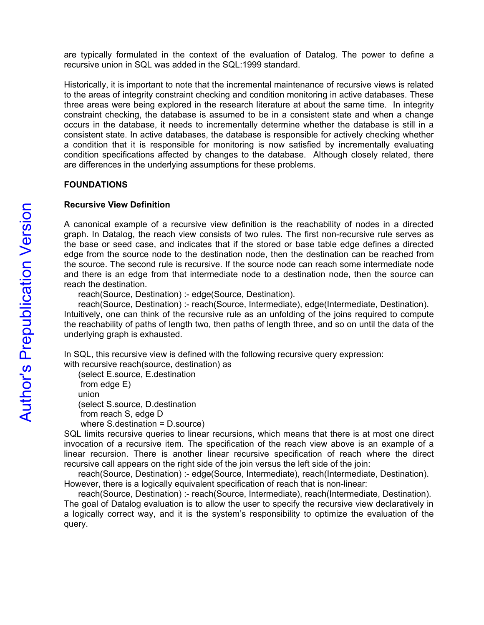are typically formulated in the context of the evaluation of Datalog. The power to define a recursive union in SQL was added in the SQL:1999 standard.

Historically, it is important to note that the incremental maintenance of recursive views is related to the areas of integrity constraint checking and condition monitoring in active databases. These three areas were being explored in the research literature at about the same time. In integrity constraint checking, the database is assumed to be in a consistent state and when a change occurs in the database, it needs to incrementally determine whether the database is still in a consistent state. In active databases, the database is responsible for actively checking whether a condition that it is responsible for monitoring is now satisfied by incrementally evaluating condition specifications affected by changes to the database. Although closely related, there are differences in the underlying assumptions for these problems.

## **FOUNDATIONS**

#### **Recursive View Definition**

A canonical example of a recursive view definition is the reachability of nodes in a directed graph. In Datalog, the reach view consists of two rules. The first non-recursive rule serves as the base or seed case, and indicates that if the stored or base table edge defines a directed edge from the source node to the destination node, then the destination can be reached from the source. The second rule is recursive. If the source node can reach some intermediate node and there is an edge from that intermediate node to a destination node, then the source can reach the destination.

reach(Source, Destination) :- edge(Source, Destination).

reach(Source, Destination) :- reach(Source, Intermediate), edge(Intermediate, Destination). Intuitively, one can think of the recursive rule as an unfolding of the joins required to compute the reachability of paths of length two, then paths of length three, and so on until the data of the underlying graph is exhausted.

In SQL, this recursive view is defined with the following recursive query expression: with recursive reach(source, destination) as

(select E.source, E.destination from edge E) union (select S.source, D.destination from reach S, edge D where S.destination = D.source)

SQL limits recursive queries to linear recursions, which means that there is at most one direct invocation of a recursive item. The specification of the reach view above is an example of a linear recursion. There is another linear recursive specification of reach where the direct recursive call appears on the right side of the join versus the left side of the join:

reach(Source, Destination) :- edge(Source, Intermediate), reach(Intermediate, Destination). However, there is a logically equivalent specification of reach that is non-linear:

reach(Source, Destination) :- reach(Source, Intermediate), reach(Intermediate, Destination). The goal of Datalog evaluation is to allow the user to specify the recursive view declaratively in a logically correct way, and it is the system's responsibility to optimize the evaluation of the query.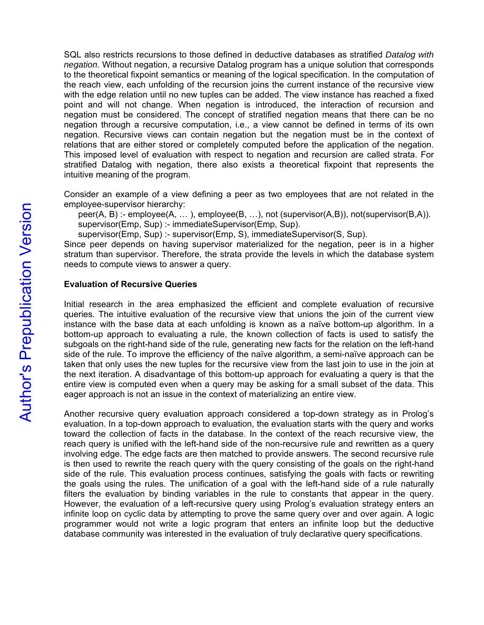SQL also restricts recursions to those defined in deductive databases as stratified *Datalog with negation*. Without negation, a recursive Datalog program has a unique solution that corresponds to the theoretical fixpoint semantics or meaning of the logical specification. In the computation of the reach view, each unfolding of the recursion joins the current instance of the recursive view with the edge relation until no new tuples can be added. The view instance has reached a fixed point and will not change. When negation is introduced, the interaction of recursion and negation must be considered. The concept of stratified negation means that there can be no negation through a recursive computation, i.e., a view cannot be defined in terms of its own negation. Recursive views can contain negation but the negation must be in the context of relations that are either stored or completely computed before the application of the negation. This imposed level of evaluation with respect to negation and recursion are called strata. For stratified Datalog with negation, there also exists a theoretical fixpoint that represents the intuitive meaning of the program.

Consider an example of a view defining a peer as two employees that are not related in the employee-supervisor hierarchy:

peer(A, B) :- employee(A, … ), employee(B, …), not (supervisor(A,B)), not(supervisor(B,A)). supervisor(Emp, Sup) :- immediateSupervisor(Emp, Sup).

supervisor(Emp, Sup) :- supervisor(Emp, S), immediateSupervisor(S, Sup).

Since peer depends on having supervisor materialized for the negation, peer is in a higher stratum than supervisor. Therefore, the strata provide the levels in which the database system needs to compute views to answer a query.

#### **Evaluation of Recursive Queries**

Initial research in the area emphasized the efficient and complete evaluation of recursive queries. The intuitive evaluation of the recursive view that unions the join of the current view instance with the base data at each unfolding is known as a naïve bottom-up algorithm. In a bottom-up approach to evaluating a rule, the known collection of facts is used to satisfy the subgoals on the right-hand side of the rule, generating new facts for the relation on the left-hand side of the rule. To improve the efficiency of the naïve algorithm, a semi-naïve approach can be taken that only uses the new tuples for the recursive view from the last join to use in the join at the next iteration. A disadvantage of this bottom-up approach for evaluating a query is that the entire view is computed even when a query may be asking for a small subset of the data. This eager approach is not an issue in the context of materializing an entire view.

Another recursive query evaluation approach considered a top-down strategy as in Prolog's evaluation. In a top-down approach to evaluation, the evaluation starts with the query and works toward the collection of facts in the database. In the context of the reach recursive view, the reach query is unified with the left-hand side of the non-recursive rule and rewritten as a query involving edge. The edge facts are then matched to provide answers. The second recursive rule is then used to rewrite the reach query with the query consisting of the goals on the right-hand side of the rule. This evaluation process continues, satisfying the goals with facts or rewriting the goals using the rules. The unification of a goal with the left-hand side of a rule naturally filters the evaluation by binding variables in the rule to constants that appear in the query. However, the evaluation of a left-recursive query using Prolog's evaluation strategy enters an infinite loop on cyclic data by attempting to prove the same query over and over again. A logic programmer would not write a logic program that enters an infinite loop but the deductive database community was interested in the evaluation of truly declarative query specifications.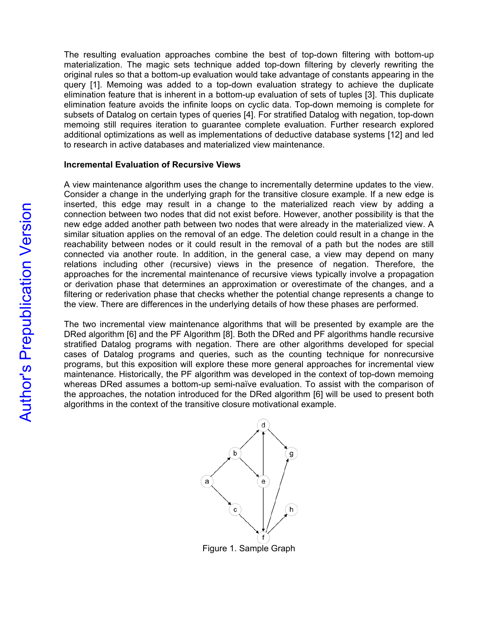The resulting evaluation approaches combine the best of top-down filtering with bottom-up materialization. The magic sets technique added top-down filtering by cleverly rewriting the original rules so that a bottom-up evaluation would take advantage of constants appearing in the query [1]. Memoing was added to a top-down evaluation strategy to achieve the duplicate elimination feature that is inherent in a bottom-up evaluation of sets of tuples [3]. This duplicate elimination feature avoids the infinite loops on cyclic data. Top-down memoing is complete for subsets of Datalog on certain types of queries [4]. For stratified Datalog with negation, top-down memoing still requires iteration to guarantee complete evaluation. Further research explored additional optimizations as well as implementations of deductive database systems [12] and led to research in active databases and materialized view maintenance.

## **Incremental Evaluation of Recursive Views**

A view maintenance algorithm uses the change to incrementally determine updates to the view. Consider a change in the underlying graph for the transitive closure example. If a new edge is inserted, this edge may result in a change to the materialized reach view by adding a connection between two nodes that did not exist before. However, another possibility is that the new edge added another path between two nodes that were already in the materialized view. A similar situation applies on the removal of an edge. The deletion could result in a change in the reachability between nodes or it could result in the removal of a path but the nodes are still connected via another route. In addition, in the general case, a view may depend on many relations including other (recursive) views in the presence of negation. Therefore, the approaches for the incremental maintenance of recursive views typically involve a propagation or derivation phase that determines an approximation or overestimate of the changes, and a filtering or rederivation phase that checks whether the potential change represents a change to the view. There are differences in the underlying details of how these phases are performed.

The two incremental view maintenance algorithms that will be presented by example are the DRed algorithm [6] and the PF Algorithm [8]. Both the DRed and PF algorithms handle recursive stratified Datalog programs with negation. There are other algorithms developed for special cases of Datalog programs and queries, such as the counting technique for nonrecursive programs, but this exposition will explore these more general approaches for incremental view maintenance. Historically, the PF algorithm was developed in the context of top-down memoing whereas DRed assumes a bottom-up semi-naïve evaluation. To assist with the comparison of the approaches, the notation introduced for the DRed algorithm [6] will be used to present both algorithms in the context of the transitive closure motivational example.



Figure 1. Sample Graph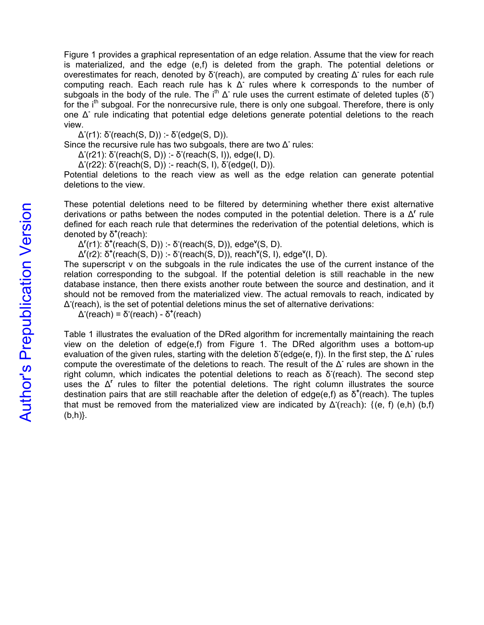Figure 1 provides a graphical representation of an edge relation. Assume that the view for reach is materialized, and the edge (e,f) is deleted from the graph. The potential deletions or overestimates for reach, denoted by δ**-** (reach), are computed by creating Δ**-** rules for each rule computing reach. Each reach rule has k Δ**-** rules where k corresponds to the number of subgoals in the body of the rule. The i<sup>th</sup> Δ<sup>-</sup> rule uses the current estimate of deleted tuples (δ<sup>-</sup>) for the i<sup>th</sup> subgoal. For the nonrecursive rule, there is only one subgoal. Therefore, there is only one Δ**-** rule indicating that potential edge deletions generate potential deletions to the reach view.

Δ**-** (r1): δ**-** (reach(S, D)) :- δ**-** (edge(S, D)).

Since the recursive rule has two subgoals, there are two Δ**-** rules:

Δ**-** (r21): δ**-** (reach(S, D)) :- δ**-** (reach(S, I)), edge(I, D).

Δ**-** (r22): δ**-** (reach(S, D)) :- reach(S, I), δ**-** (edge(I, D)).

Potential deletions to the reach view as well as the edge relation can generate potential deletions to the view.

These potential deletions need to be filtered by determining whether there exist alternative derivations or paths between the nodes computed in the potential deletion. There is a Δ**<sup>r</sup>** rule defined for each reach rule that determines the rederivation of the potential deletions, which is denoted by δ<sup>+</sup>(reach):

Δ**r** (r1): δ**<sup>+</sup>** (reach(S, D)) :- δ**-** (reach(S, D)), edge**<sup>v</sup>** (S, D).

Δ**r** (r2): δ**<sup>+</sup>** (reach(S, D)) :- δ**-** (reach(S, D)), reach**<sup>v</sup>** (S, I), edge**<sup>v</sup>** (I, D).

The superscript v on the subgoals in the rule indicates the use of the current instance of the relation corresponding to the subgoal. If the potential deletion is still reachable in the new database instance, then there exists another route between the source and destination, and it should not be removed from the materialized view. The actual removals to reach, indicated by Δ**-** (reach), is the set of potential deletions minus the set of alternative derivations:

Δ**-** (reach) = δ**-** (reach) - δ**<sup>+</sup>** (reach)

Table 1 illustrates the evaluation of the DRed algorithm for incrementally maintaining the reach view on the deletion of edge(e,f) from Figure 1. The DRed algorithm uses a bottom-up evaluation of the given rules, starting with the deletion δ**-** (edge(e, f)). In the first step, the Δ**-** rules compute the overestimate of the deletions to reach. The result of the Δ**-** rules are shown in the right column, which indicates the potential deletions to reach as δ<sup>-</sup>(reach). The second step uses the Δ<sup>r</sup> rules to filter the potential deletions. The right column illustrates the source destination pairs that are still reachable after the deletion of edge(e,f) as δ<sup>+</sup>(reach). The tuples that must be removed from the materialized view are indicated by  $\Delta$  (reach): {(e, f) (e,h) (b,f)  $(b,h)$ .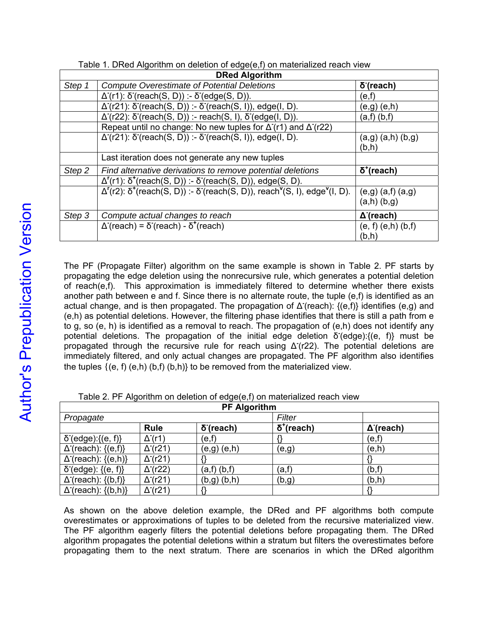| <b>DRed Algorithm</b> |                                                                                                                                     |                                       |  |  |  |
|-----------------------|-------------------------------------------------------------------------------------------------------------------------------------|---------------------------------------|--|--|--|
| Step 1                | <b>Compute Overestimate of Potential Deletions</b>                                                                                  | $\delta$ (reach)                      |  |  |  |
|                       | $\Delta$ <sup><math>\cdot</math></sup> (r1): $\delta$ <sup><math>\cdot</math></sup> (reach(S, D)) :- $\delta$ $\cdot$ (edge(S, D)). | (e,f)                                 |  |  |  |
|                       | $\Delta$ (r21): $\delta$ (reach(S, D)) :- $\delta$ (reach(S, I)), edge(I, D).                                                       | (e,g) (e,h)                           |  |  |  |
|                       | $\Delta$ (r22): $\delta$ (reach(S, D)) :- reach(S, I), $\delta$ (edge(I, D)).                                                       | (a,f) (b,f)                           |  |  |  |
|                       | Repeat until no change: No new tuples for $\Delta^{r}(r1)$ and $\Delta^{r}(r22)$                                                    |                                       |  |  |  |
|                       | $\Delta$ (r21): $\delta$ (reach(S, D)) :- $\delta$ (reach(S, I)), edge(I, D).                                                       | $(a,g)$ $(a,h)$ $(b,g)$<br>(b,h)      |  |  |  |
|                       | Last iteration does not generate any new tuples                                                                                     |                                       |  |  |  |
| Step 2                | Find alternative derivations to remove potential deletions                                                                          | $\delta^{\dagger}$ (reach)            |  |  |  |
|                       | $\Delta^{r}(r1)$ : $\delta^{+}(reach(S, D))$ :- $\delta^{-(reach(S, D))}$ , edge(S, D).                                             |                                       |  |  |  |
|                       | $\Delta^{r}(r2)$ : $\delta^{+}(reach(S, D))$ : $-\delta^{-(reach(S, D))}$ , reach <sup>v</sup> (S, I), edge <sup>v</sup> (I, D).    | $(e,g)$ $(a,f)$ $(a,g)$<br>(a,h)(b,g) |  |  |  |
| Step 3                | Compute actual changes to reach                                                                                                     | $\Delta$ (reach)                      |  |  |  |
|                       | $\Delta$ (reach) = $\delta$ (reach) - $\delta^+$ (reach)                                                                            | $(e, f)$ $(e, h)$ $(b, f)$<br>(b,h)   |  |  |  |

Table 1. DRed Algorithm on deletion of edge(e,f) on materialized reach view

The PF (Propagate Filter) algorithm on the same example is shown in Table 2. PF starts by propagating the edge deletion using the nonrecursive rule, which generates a potential deletion of reach(e,f). This approximation is immediately filtered to determine whether there exists another path between e and f. Since there is no alternate route, the tuple (e,f) is identified as an actual change, and is then propagated. The propagation of  $\Delta$  (reach): {(e,f)} identifies (e,g) and (e,h) as potential deletions. However, the filtering phase identifies that there is still a path from e to g, so (e, h) is identified as a removal to reach. The propagation of (e,h) does not identify any potential deletions. The propagation of the initial edge deletion δ<sup>-</sup>(edge):{(e, f)} must be propagated through the recursive rule for reach using Δ**-** (r22). The potential deletions are immediately filtered, and only actual changes are propagated. The PF algorithm also identifies the tuples  $\{(e, f), (e, h), (b, f), (b, h)\}\$  to be removed from the materialized view.

| <b>PF Algorithm</b>            |                             |                  |                            |                  |  |
|--------------------------------|-----------------------------|------------------|----------------------------|------------------|--|
| Propagate                      |                             |                  | Filter                     |                  |  |
|                                | <b>Rule</b>                 | $\delta$ (reach) | $\delta^{\dagger}$ (reach) | $\Delta$ (reach) |  |
| $\delta$ (edge): {(e, f)}      | $\Delta$ (r1)               | (e,f)            |                            | (e,f)            |  |
| $\Delta$ (reach): $\{(e,f)\}\$ | $\Delta$ <sup>(r21)</sup>   | (e,g)(e,h)       | (e,g)                      | (e,h)            |  |
| $\Delta$ (reach): $\{(e,h)\}$  | $\Delta$ <sup>(r21)</sup>   |                  |                            |                  |  |
| $\delta$ (edge): $\{(e, f)\}\$ | $\Delta$ <sup>-</sup> (r22) | (a,f)(b,f)       | (a,f)                      | (b,f)            |  |
| $\Delta$ (reach): $\{(b,f)\}$  | $\Delta$ (r21)              | (b,g)(b,h)       | (b,g)                      | (b,h)            |  |
| $\Delta$ (reach): $\{(b,h)\}$  | ∆ <sup>-</sup> (r21)        |                  |                            |                  |  |

Table 2. PF Algorithm on deletion of edge(e,f) on materialized reach view

As shown on the above deletion example, the DRed and PF algorithms both compute overestimates or approximations of tuples to be deleted from the recursive materialized view. The PF algorithm eagerly filters the potential deletions before propagating them. The DRed algorithm propagates the potential deletions within a stratum but filters the overestimates before propagating them to the next stratum. There are scenarios in which the DRed algorithm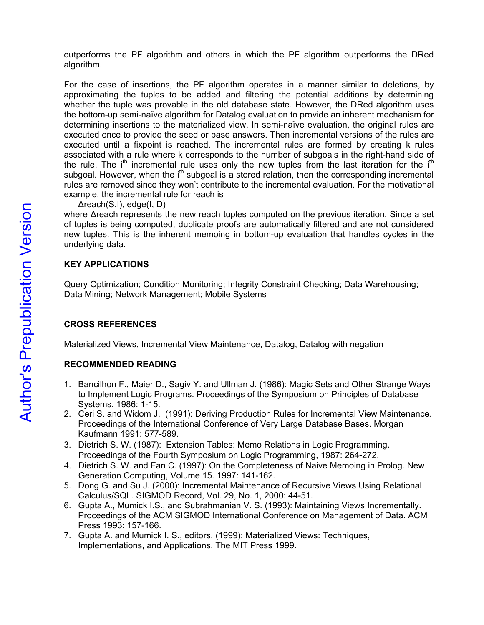outperforms the PF algorithm and others in which the PF algorithm outperforms the DRed algorithm.

For the case of insertions, the PF algorithm operates in a manner similar to deletions, by approximating the tuples to be added and filtering the potential additions by determining whether the tuple was provable in the old database state. However, the DRed algorithm uses the bottom-up semi-naïve algorithm for Datalog evaluation to provide an inherent mechanism for determining insertions to the materialized view. In semi-naïve evaluation, the original rules are executed once to provide the seed or base answers. Then incremental versions of the rules are executed until a fixpoint is reached. The incremental rules are formed by creating k rules associated with a rule where k corresponds to the number of subgoals in the right-hand side of the rule. The i<sup>th</sup> incremental rule uses only the new tuples from the last iteration for the i<sup>th</sup> subgoal. However, when the  $i<sup>th</sup>$  subgoal is a stored relation, then the corresponding incremental rules are removed since they won't contribute to the incremental evaluation. For the motivational example, the incremental rule for reach is

Δreach(S,I), edge(I, D)

where Δreach represents the new reach tuples computed on the previous iteration. Since a set of tuples is being computed, duplicate proofs are automatically filtered and are not considered new tuples. This is the inherent memoing in bottom-up evaluation that handles cycles in the underlying data.

# **KEY APPLICATIONS**

Query Optimization; Condition Monitoring; Integrity Constraint Checking; Data Warehousing; Data Mining; Network Management; Mobile Systems

# **CROSS REFERENCES**

Materialized Views, Incremental View Maintenance, Datalog, Datalog with negation

# **RECOMMENDED READING**

- 1. Bancilhon F., Maier D., Sagiv Y. and Ullman J. (1986): Magic Sets and Other Strange Ways to Implement Logic Programs. Proceedings of the Symposium on Principles of Database Systems, 1986: 1-15.
- 2. Ceri S. and Widom J. (1991): Deriving Production Rules for Incremental View Maintenance. Proceedings of the International Conference of Very Large Database Bases. Morgan Kaufmann 1991: 577-589.
- 3. Dietrich S. W. (1987): Extension Tables: Memo Relations in Logic Programming. Proceedings of the Fourth Symposium on Logic Programming, 1987: 264-272.
- 4. Dietrich S. W. and Fan C. (1997): On the Completeness of Naive Memoing in Prolog. New Generation Computing, Volume 15. 1997: 141-162.
- 5. Dong G. and Su J. (2000): Incremental Maintenance of Recursive Views Using Relational Calculus/SQL. SIGMOD Record, Vol. 29, No. 1, 2000: 44-51.
- 6. Gupta A., Mumick I.S., and Subrahmanian V. S. (1993): Maintaining Views Incrementally. Proceedings of the ACM SIGMOD International Conference on Management of Data. ACM Press 1993: 157-166.
- 7. Gupta A. and Mumick I. S., editors. (1999): Materialized Views: Techniques, Implementations, and Applications. The MIT Press 1999.